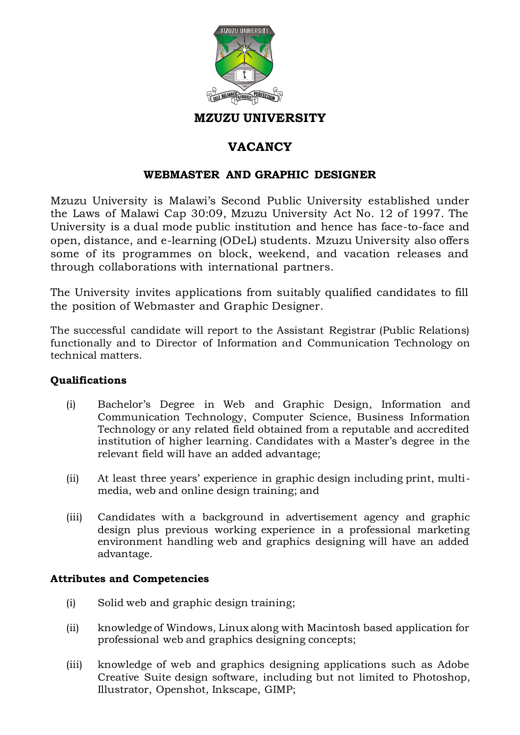

### **MZUZU UNIVERSITY**

# **VACANCY**

## **WEBMASTER AND GRAPHIC DESIGNER**

Mzuzu University is Malawi's Second Public University established under the Laws of Malawi Cap 30:09, Mzuzu University Act No. 12 of 1997. The University is a dual mode public institution and hence has face-to-face and open, distance, and e-learning (ODeL) students. Mzuzu University also offers some of its programmes on block, weekend, and vacation releases and through collaborations with international partners.

The University invites applications from suitably qualified candidates to fill the position of Webmaster and Graphic Designer.

The successful candidate will report to the Assistant Registrar (Public Relations) functionally and to Director of Information and Communication Technology on technical matters.

#### **Qualifications**

- (i) Bachelor's Degree in Web and Graphic Design, Information and Communication Technology, Computer Science, Business Information Technology or any related field obtained from a reputable and accredited institution of higher learning. Candidates with a Master's degree in the relevant field will have an added advantage;
- (ii) At least three years' experience in graphic design including print, multimedia, web and online design training; and
- (iii) Candidates with a background in advertisement agency and graphic design plus previous working experience in a professional marketing environment handling web and graphics designing will have an added advantage.

### **Attributes and Competencies**

- (i) Solid web and graphic design training;
- (ii) knowledge of Windows, Linux along with Macintosh based application for professional web and graphics designing concepts;
- (iii) knowledge of web and graphics designing applications such as Adobe Creative Suite design software, including but not limited to Photoshop, Illustrator, Openshot, Inkscape, GIMP;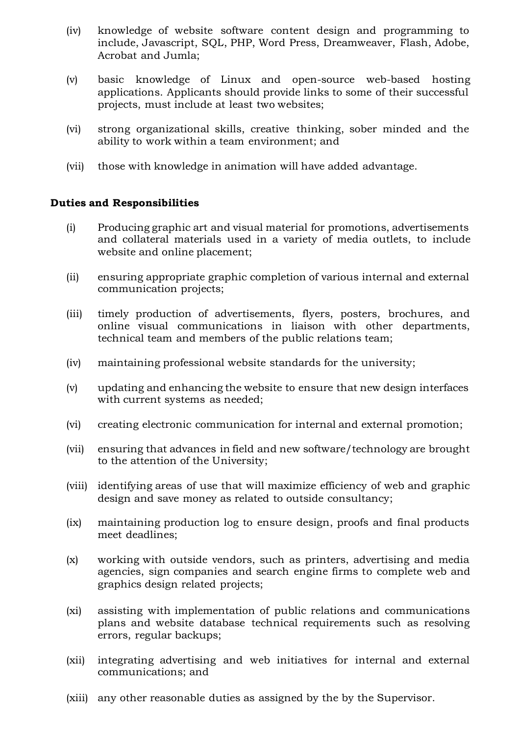- (iv) knowledge of website software content design and programming to include, Javascript, SQL, PHP, Word Press, Dreamweaver, Flash, Adobe, Acrobat and Jumla;
- (v) basic knowledge of Linux and open-source web-based hosting applications. Applicants should provide links to some of their successful projects, must include at least two websites;
- (vi) strong organizational skills, creative thinking, sober minded and the ability to work within a team environment; and
- (vii) those with knowledge in animation will have added advantage.

#### **Duties and Responsibilities**

- (i) Producing graphic art and visual material for promotions, advertisements and collateral materials used in a variety of media outlets, to include website and online placement;
- (ii) ensuring appropriate graphic completion of various internal and external communication projects;
- (iii) timely production of advertisements, flyers, posters, brochures, and online visual communications in liaison with other departments, technical team and members of the public relations team;
- (iv) maintaining professional website standards for the university;
- (v) updating and enhancing the website to ensure that new design interfaces with current systems as needed;
- (vi) creating electronic communication for internal and external promotion;
- (vii) ensuring that advances in field and new software/technology are brought to the attention of the University;
- (viii) identifying areas of use that will maximize efficiency of web and graphic design and save money as related to outside consultancy;
- (ix) maintaining production log to ensure design, proofs and final products meet deadlines;
- (x) working with outside vendors, such as printers, advertising and media agencies, sign companies and search engine firms to complete web and graphics design related projects;
- (xi) assisting with implementation of public relations and communications plans and website database technical requirements such as resolving errors, regular backups;
- (xii) integrating advertising and web initiatives for internal and external communications; and
- (xiii) any other reasonable duties as assigned by the by the Supervisor.